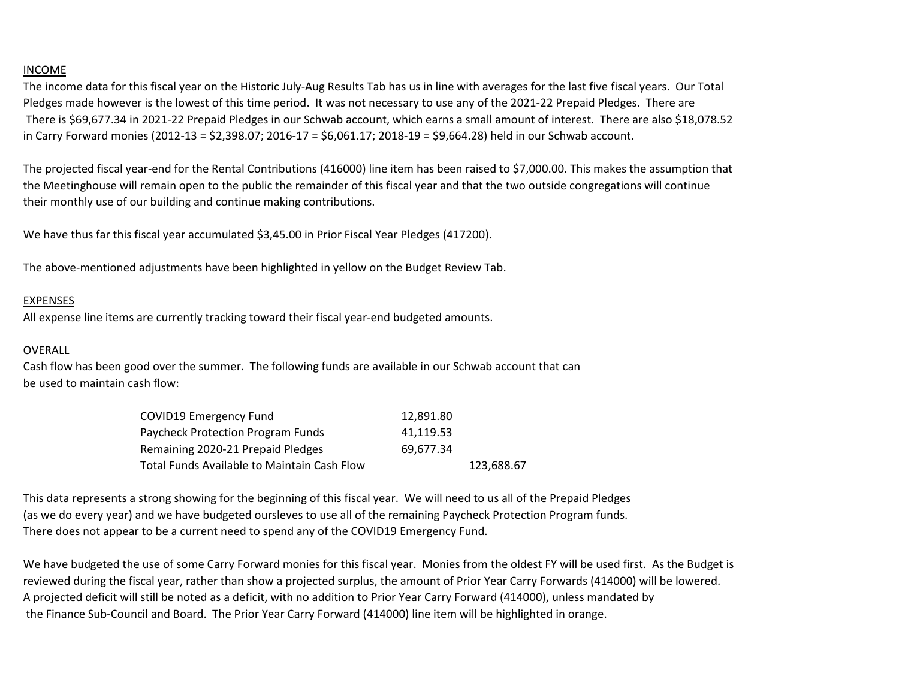## INCOME

The income data for this fiscal year on the Historic July-Aug Results Tab has us in line with averages for the last five fiscal years. Our Total Pledges made however is the lowest of this time period. It was not necessary to use any of the 2021-22 Prepaid Pledges. There are There is \$69,677.34 in 2021-22 Prepaid Pledges in our Schwab account, which earns a small amount of interest. There are also \$18,078.52 in Carry Forward monies (2012-13 = \$2,398.07; 2016-17 = \$6,061.17; 2018-19 = \$9,664.28) held in our Schwab account.

The projected fiscal year-end for the Rental Contributions (416000) line item has been raised to \$7,000.00. This makes the assumption that the Meetinghouse will remain open to the public the remainder of this fiscal year and that the two outside congregations will continue their monthly use of our building and continue making contributions.

We have thus far this fiscal year accumulated \$3,45.00 in Prior Fiscal Year Pledges (417200).

The above-mentioned adjustments have been highlighted in yellow on the Budget Review Tab.

## EXPENSES

All expense line items are currently tracking toward their fiscal year-end budgeted amounts.

## OVERALL

Cash flow has been good over the summer. The following funds are available in our Schwab account that can be used to maintain cash flow:

| COVID19 Emergency Fund                      | 12.891.80 |            |  |
|---------------------------------------------|-----------|------------|--|
| Paycheck Protection Program Funds           | 41,119.53 |            |  |
| Remaining 2020-21 Prepaid Pledges           | 69.677.34 |            |  |
| Total Funds Available to Maintain Cash Flow |           | 123.688.67 |  |

This data represents a strong showing for the beginning of this fiscal year. We will need to us all of the Prepaid Pledges (as we do every year) and we have budgeted oursleves to use all of the remaining Paycheck Protection Program funds. There does not appear to be a current need to spend any of the COVID19 Emergency Fund.

We have budgeted the use of some Carry Forward monies for this fiscal year. Monies from the oldest FY will be used first. As the Budget is reviewed during the fiscal year, rather than show a projected surplus, the amount of Prior Year Carry Forwards (414000) will be lowered. A projected deficit will still be noted as a deficit, with no addition to Prior Year Carry Forward (414000), unless mandated by the Finance Sub-Council and Board. The Prior Year Carry Forward (414000) line item will be highlighted in orange.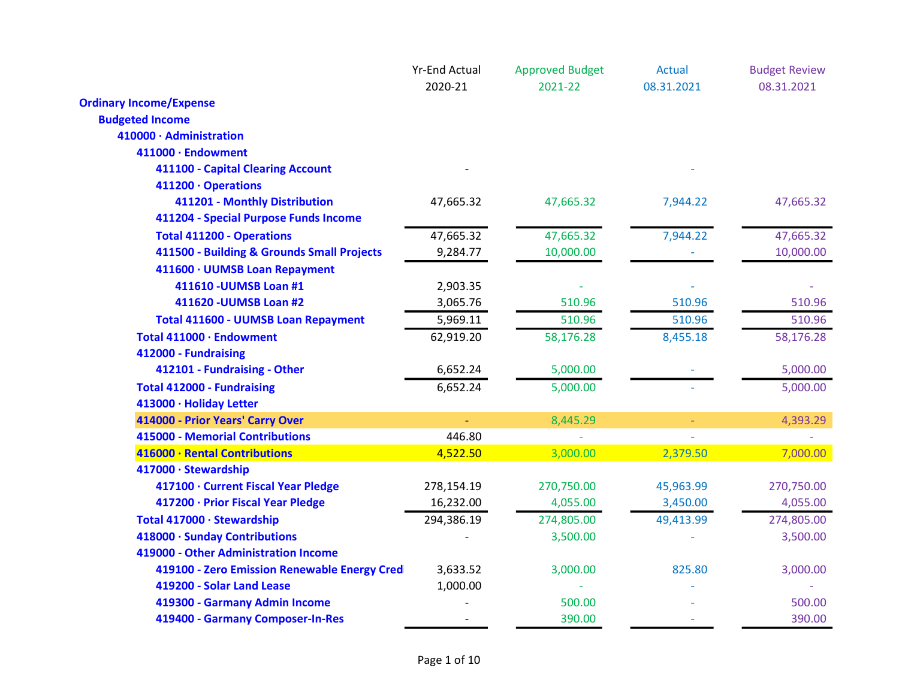|                                                   | <b>Yr-End Actual</b> | <b>Approved Budget</b> | <b>Actual</b>  | <b>Budget Review</b> |
|---------------------------------------------------|----------------------|------------------------|----------------|----------------------|
|                                                   | 2020-21              | 2021-22                | 08.31.2021     | 08.31.2021           |
| <b>Ordinary Income/Expense</b>                    |                      |                        |                |                      |
| <b>Budgeted Income</b><br>410000 · Administration |                      |                        |                |                      |
|                                                   |                      |                        |                |                      |
| 411000 · Endowment                                |                      |                        |                |                      |
| 411100 - Capital Clearing Account                 |                      |                        |                |                      |
| 411200 · Operations                               |                      |                        |                |                      |
| 411201 - Monthly Distribution                     | 47,665.32            | 47,665.32              | 7,944.22       | 47,665.32            |
| 411204 - Special Purpose Funds Income             |                      |                        |                |                      |
| <b>Total 411200 - Operations</b>                  | 47,665.32            | 47,665.32              | 7,944.22       | 47,665.32            |
| 411500 - Building & Grounds Small Projects        | 9,284.77             | 10,000.00              |                | 10,000.00            |
| 411600 · UUMSB Loan Repayment                     |                      |                        |                |                      |
| 411610 - UUMSB Loan #1                            | 2,903.35             |                        |                |                      |
| 411620 - UUMSB Loan #2                            | 3,065.76             | 510.96                 | 510.96         | 510.96               |
| <b>Total 411600 - UUMSB Loan Repayment</b>        | 5,969.11             | 510.96                 | 510.96         | 510.96               |
| Total 411000 · Endowment                          | 62,919.20            | 58,176.28              | 8,455.18       | 58,176.28            |
| 412000 - Fundraising                              |                      |                        |                |                      |
| 412101 - Fundraising - Other                      | 6,652.24             | 5,000.00               |                | 5,000.00             |
| <b>Total 412000 - Fundraising</b>                 | 6,652.24             | 5,000.00               |                | 5,000.00             |
| 413000 · Holiday Letter                           |                      |                        |                |                      |
| 414000 - Prior Years' Carry Over                  |                      | 8,445.29               | $\blacksquare$ | 4,393.29             |
| <b>415000 - Memorial Contributions</b>            | 446.80               |                        |                |                      |
| 416000 · Rental Contributions                     | 4,522.50             | 3,000.00               | 2,379.50       | 7,000.00             |
| 417000 · Stewardship                              |                      |                        |                |                      |
| 417100 · Current Fiscal Year Pledge               | 278,154.19           | 270,750.00             | 45,963.99      | 270,750.00           |
| 417200 · Prior Fiscal Year Pledge                 | 16,232.00            | 4,055.00               | 3,450.00       | 4,055.00             |
| Total 417000 · Stewardship                        | 294,386.19           | 274,805.00             | 49,413.99      | 274,805.00           |
| 418000 · Sunday Contributions                     |                      | 3,500.00               |                | 3,500.00             |
| 419000 - Other Administration Income              |                      |                        |                |                      |
| 419100 - Zero Emission Renewable Energy Cred      | 3,633.52             | 3,000.00               | 825.80         | 3,000.00             |
| 419200 - Solar Land Lease                         | 1,000.00             |                        |                |                      |
| 419300 - Garmany Admin Income                     |                      | 500.00                 |                | 500.00               |
| 419400 - Garmany Composer-In-Res                  |                      | 390.00                 |                | 390.00               |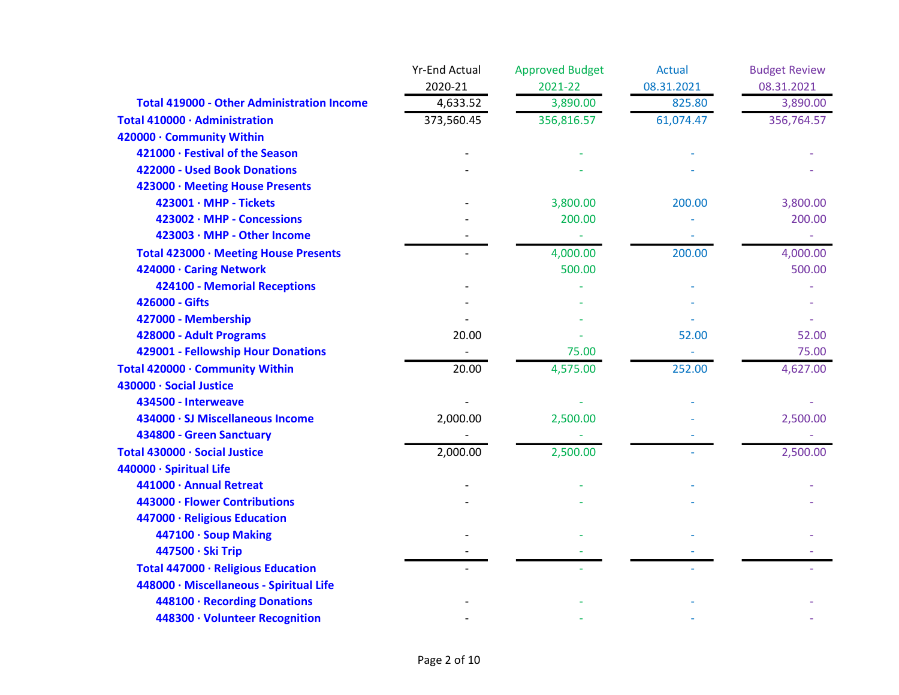|                                                   | <b>Yr-End Actual</b> | <b>Approved Budget</b> | <b>Actual</b> | <b>Budget Review</b> |
|---------------------------------------------------|----------------------|------------------------|---------------|----------------------|
|                                                   | 2020-21              | 2021-22                | 08.31.2021    | 08.31.2021           |
| <b>Total 419000 - Other Administration Income</b> | 4,633.52             | 3,890.00               | 825.80        | 3,890.00             |
| Total 410000 · Administration                     | 373,560.45           | 356,816.57             | 61,074.47     | 356,764.57           |
| 420000 · Community Within                         |                      |                        |               |                      |
| 421000 · Festival of the Season                   |                      |                        |               |                      |
| 422000 - Used Book Donations                      |                      |                        |               |                      |
| 423000 · Meeting House Presents                   |                      |                        |               |                      |
| $423001 \cdot \text{MHP}$ - Tickets               |                      | 3,800.00               | 200.00        | 3,800.00             |
| 423002 · MHP - Concessions                        |                      | 200.00                 |               | 200.00               |
| 423003 · MHP - Other Income                       |                      |                        |               |                      |
| Total 423000 · Meeting House Presents             |                      | 4,000.00               | 200.00        | 4,000.00             |
| 424000 · Caring Network                           |                      | 500.00                 |               | 500.00               |
| 424100 - Memorial Receptions                      |                      |                        |               |                      |
| 426000 - Gifts                                    |                      |                        |               |                      |
| 427000 - Membership                               |                      |                        |               |                      |
| 428000 - Adult Programs                           | 20.00                |                        | 52.00         | 52.00                |
| 429001 - Fellowship Hour Donations                |                      | 75.00                  | ٠             | 75.00                |
| Total 420000 · Community Within                   | 20.00                | 4,575.00               | 252.00        | 4,627.00             |
| 430000 · Social Justice                           |                      |                        |               |                      |
| 434500 - Interweave                               |                      |                        |               |                      |
| 434000 · SJ Miscellaneous Income                  | 2,000.00             | 2,500.00               |               | 2,500.00             |
| 434800 - Green Sanctuary                          |                      |                        |               |                      |
| Total 430000 · Social Justice                     | 2,000.00             | 2,500.00               |               | 2,500.00             |
| 440000 · Spiritual Life                           |                      |                        |               |                      |
| 441000 · Annual Retreat                           |                      |                        |               |                      |
| 443000 · Flower Contributions                     |                      |                        |               |                      |
| 447000 · Religious Education                      |                      |                        |               |                      |
| 447100 · Soup Making                              |                      |                        |               |                      |
| 447500 · Ski Trip                                 |                      |                        |               |                      |
| Total 447000 · Religious Education                |                      |                        |               |                      |
| 448000 · Miscellaneous - Spiritual Life           |                      |                        |               |                      |
| 448100 · Recording Donations                      |                      |                        |               |                      |
| 448300 · Volunteer Recognition                    |                      |                        |               |                      |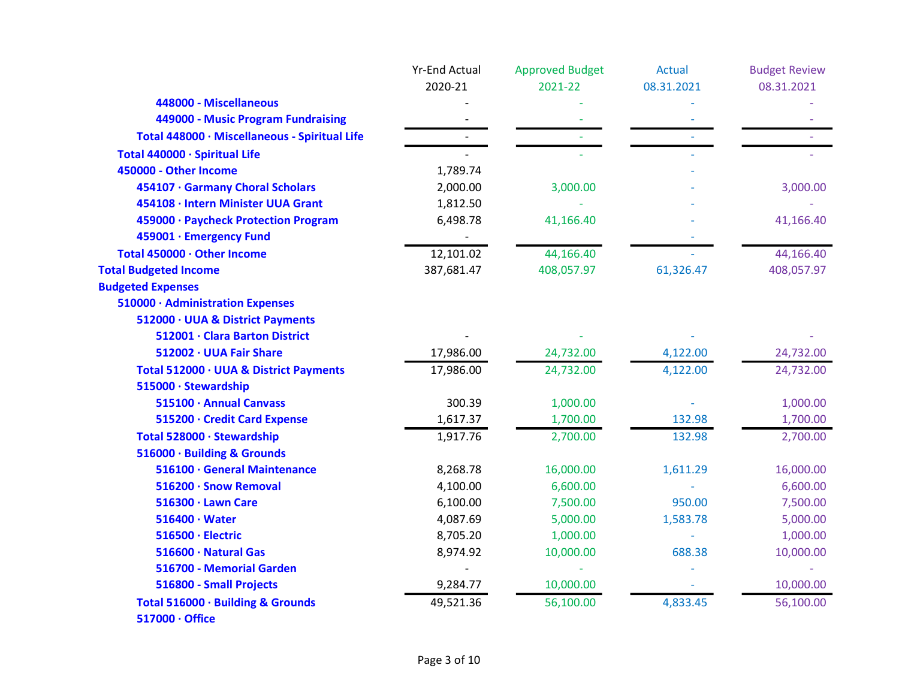|                                               | <b>Yr-End Actual</b> | <b>Approved Budget</b> | <b>Actual</b> | <b>Budget Review</b> |
|-----------------------------------------------|----------------------|------------------------|---------------|----------------------|
|                                               | 2020-21              | 2021-22                | 08.31.2021    | 08.31.2021           |
| 448000 - Miscellaneous                        |                      |                        |               |                      |
| 449000 - Music Program Fundraising            |                      |                        |               |                      |
| Total 448000 · Miscellaneous - Spiritual Life |                      |                        |               |                      |
| Total 440000 · Spiritual Life                 |                      |                        |               |                      |
| 450000 - Other Income                         | 1,789.74             |                        |               |                      |
| 454107 · Garmany Choral Scholars              | 2,000.00             | 3,000.00               |               | 3,000.00             |
| 454108 · Intern Minister UUA Grant            | 1,812.50             |                        |               |                      |
| 459000 · Paycheck Protection Program          | 6,498.78             | 41,166.40              |               | 41,166.40            |
| 459001 · Emergency Fund                       |                      |                        |               |                      |
| Total 450000 · Other Income                   | 12,101.02            | 44,166.40              |               | 44,166.40            |
| <b>Total Budgeted Income</b>                  | 387,681.47           | 408,057.97             | 61,326.47     | 408,057.97           |
| <b>Budgeted Expenses</b>                      |                      |                        |               |                      |
| 510000 · Administration Expenses              |                      |                        |               |                      |
| 512000 · UUA & District Payments              |                      |                        |               |                      |
| 512001 · Clara Barton District                |                      |                        |               |                      |
| 512002 · UUA Fair Share                       | 17,986.00            | 24,732.00              | 4,122.00      | 24,732.00            |
| Total 512000 · UUA & District Payments        | 17,986.00            | 24,732.00              | 4,122.00      | 24,732.00            |
| 515000 · Stewardship                          |                      |                        |               |                      |
| 515100 · Annual Canvass                       | 300.39               | 1,000.00               |               | 1,000.00             |
| 515200 · Credit Card Expense                  | 1,617.37             | 1,700.00               | 132.98        | 1,700.00             |
| Total 528000 · Stewardship                    | 1,917.76             | 2,700.00               | 132.98        | 2,700.00             |
| 516000 · Building & Grounds                   |                      |                        |               |                      |
| 516100 · General Maintenance                  | 8,268.78             | 16,000.00              | 1,611.29      | 16,000.00            |
| 516200 · Snow Removal                         | 4,100.00             | 6,600.00               |               | 6,600.00             |
| 516300 · Lawn Care                            | 6,100.00             | 7,500.00               | 950.00        | 7,500.00             |
| $516400 \cdot Water$                          | 4,087.69             | 5,000.00               | 1,583.78      | 5,000.00             |
| 516500 · Electric                             | 8,705.20             | 1,000.00               |               | 1,000.00             |
| 516600 · Natural Gas                          | 8,974.92             | 10,000.00              | 688.38        | 10,000.00            |
| 516700 - Memorial Garden                      |                      |                        |               |                      |
| 516800 - Small Projects                       | 9,284.77             | 10,000.00              |               | 10,000.00            |
| Total 516000 · Building & Grounds             | 49,521.36            | 56,100.00              | 4,833.45      | 56,100.00            |
| 517000 · Office                               |                      |                        |               |                      |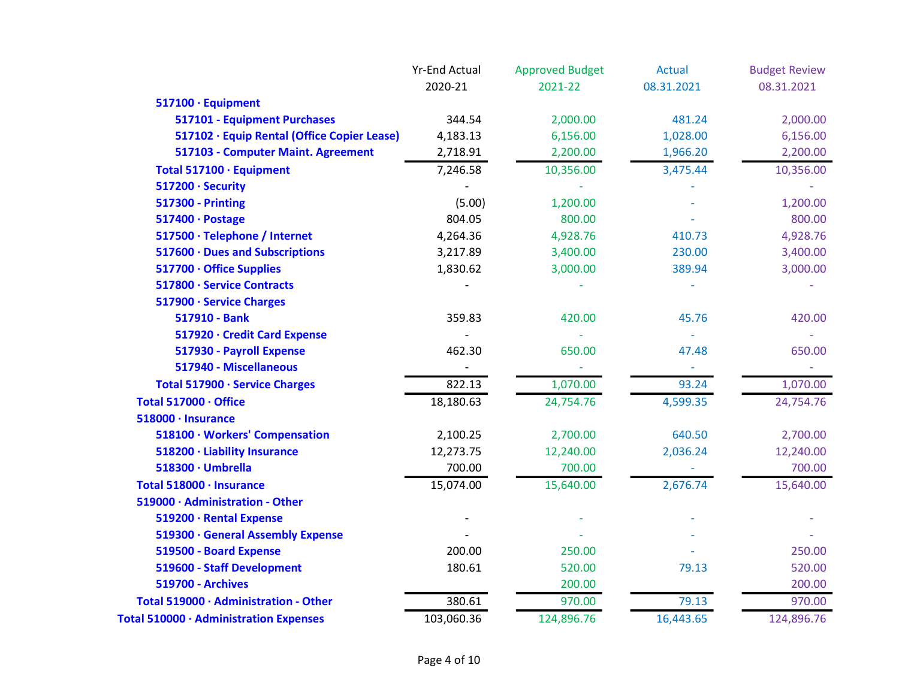|                                             | <b>Yr-End Actual</b> | <b>Approved Budget</b> | Actual        | <b>Budget Review</b> |
|---------------------------------------------|----------------------|------------------------|---------------|----------------------|
|                                             | 2020-21              | 2021-22                | 08.31.2021    | 08.31.2021           |
| 517100 · Equipment                          |                      |                        |               |                      |
| 517101 - Equipment Purchases                | 344.54               | 2,000.00               | 481.24        | 2,000.00             |
| 517102 · Equip Rental (Office Copier Lease) | 4,183.13             | 6,156.00               | 1,028.00      | 6,156.00             |
| 517103 - Computer Maint. Agreement          | 2,718.91             | 2,200.00               | 1,966.20      | 2,200.00             |
| Total 517100 · Equipment                    | 7,246.58             | 10,356.00              | 3,475.44      | 10,356.00            |
| 517200 · Security                           |                      |                        |               |                      |
| <b>517300 - Printing</b>                    | (5.00)               | 1,200.00               |               | 1,200.00             |
| 517400 · Postage                            | 804.05               | 800.00                 |               | 800.00               |
| 517500 · Telephone / Internet               | 4,264.36             | 4,928.76               | 410.73        | 4,928.76             |
| 517600 · Dues and Subscriptions             | 3,217.89             | 3,400.00               | 230.00        | 3,400.00             |
| 517700 · Office Supplies                    | 1,830.62             | 3,000.00               | 389.94        | 3,000.00             |
| 517800 · Service Contracts                  |                      |                        |               |                      |
| 517900 · Service Charges                    |                      |                        |               |                      |
| 517910 - Bank                               | 359.83               | 420.00                 | 45.76         | 420.00               |
| 517920 · Credit Card Expense                |                      |                        |               |                      |
| 517930 - Payroll Expense                    | 462.30               | 650.00                 | 47.48         | 650.00               |
| 517940 - Miscellaneous                      |                      |                        | $\rightarrow$ |                      |
| Total 517900 · Service Charges              | 822.13               | 1,070.00               | 93.24         | 1,070.00             |
| Total 517000 · Office                       | 18,180.63            | 24,754.76              | 4,599.35      | 24,754.76            |
| 518000 · Insurance                          |                      |                        |               |                      |
| 518100 · Workers' Compensation              | 2,100.25             | 2,700.00               | 640.50        | 2,700.00             |
| 518200 · Liability Insurance                | 12,273.75            | 12,240.00              | 2,036.24      | 12,240.00            |
| 518300 · Umbrella                           | 700.00               | 700.00                 |               | 700.00               |
| Total 518000 · Insurance                    | 15,074.00            | 15,640.00              | 2,676.74      | 15,640.00            |
| 519000 · Administration - Other             |                      |                        |               |                      |
| 519200 · Rental Expense                     |                      |                        |               |                      |
| 519300 · General Assembly Expense           |                      |                        |               |                      |
| 519500 - Board Expense                      | 200.00               | 250.00                 |               | 250.00               |
| 519600 - Staff Development                  | 180.61               | 520.00                 | 79.13         | 520.00               |
| <b>519700 - Archives</b>                    |                      | 200.00                 |               | 200.00               |
| Total 519000 · Administration - Other       | 380.61               | 970.00                 | 79.13         | 970.00               |
| Total 510000 · Administration Expenses      | 103,060.36           | 124,896.76             | 16,443.65     | 124,896.76           |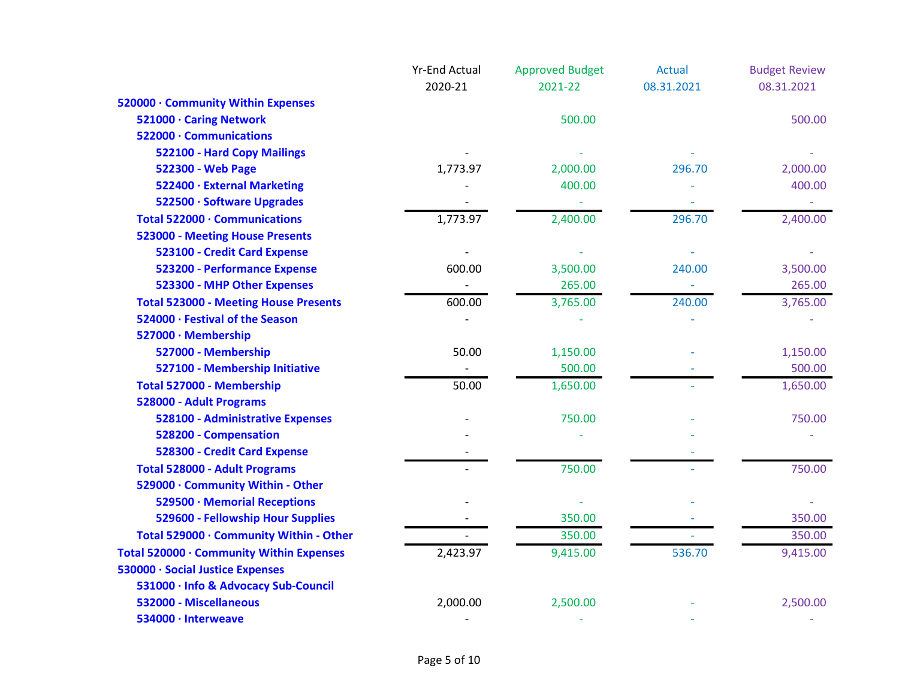|                                              | <b>Yr-End Actual</b>     | <b>Approved Budget</b> | <b>Actual</b>            | <b>Budget Review</b> |
|----------------------------------------------|--------------------------|------------------------|--------------------------|----------------------|
|                                              | 2020-21                  | 2021-22                | 08.31.2021               | 08.31.2021           |
| 520000 · Community Within Expenses           |                          |                        |                          |                      |
| 521000 · Caring Network                      |                          | 500.00                 |                          | 500.00               |
| 522000 · Communications                      |                          |                        |                          |                      |
| 522100 - Hard Copy Mailings                  |                          |                        |                          |                      |
| 522300 - Web Page                            | 1,773.97                 | 2,000.00               | 296.70                   | 2,000.00             |
| 522400 · External Marketing                  |                          | 400.00                 |                          | 400.00               |
| 522500 · Software Upgrades                   |                          |                        |                          |                      |
| Total 522000 · Communications                | 1,773.97                 | 2,400.00               | 296.70                   | 2,400.00             |
| <b>523000 - Meeting House Presents</b>       |                          |                        |                          |                      |
| 523100 - Credit Card Expense                 |                          |                        |                          |                      |
| 523200 - Performance Expense                 | 600.00                   | 3,500.00               | 240.00                   | 3,500.00             |
| 523300 - MHP Other Expenses                  | $\overline{\phantom{a}}$ | 265.00                 | $\overline{\phantom{a}}$ | 265.00               |
| <b>Total 523000 - Meeting House Presents</b> | 600.00                   | 3,765.00               | 240.00                   | 3,765.00             |
| 524000 · Festival of the Season              |                          |                        |                          |                      |
| 527000 · Membership                          |                          |                        |                          |                      |
| 527000 - Membership                          | 50.00                    | 1,150.00               |                          | 1,150.00             |
| 527100 - Membership Initiative               |                          | 500.00                 |                          | 500.00               |
| Total 527000 - Membership                    | 50.00                    | 1,650.00               |                          | 1,650.00             |
| 528000 - Adult Programs                      |                          |                        |                          |                      |
| 528100 - Administrative Expenses             |                          | 750.00                 |                          | 750.00               |
| 528200 - Compensation                        |                          |                        |                          |                      |
| 528300 - Credit Card Expense                 |                          |                        |                          |                      |
| <b>Total 528000 - Adult Programs</b>         |                          | 750.00                 |                          | 750.00               |
| 529000 · Community Within - Other            |                          |                        |                          |                      |
| 529500 · Memorial Receptions                 |                          |                        |                          |                      |
| 529600 - Fellowship Hour Supplies            |                          | 350.00                 |                          | 350.00               |
| Total 529000 · Community Within - Other      |                          | 350.00                 |                          | 350.00               |
| Total 520000 · Community Within Expenses     | 2,423.97                 | 9,415.00               | 536.70                   | 9,415.00             |
| 530000 · Social Justice Expenses             |                          |                        |                          |                      |
| 531000 · Info & Advocacy Sub-Council         |                          |                        |                          |                      |
| 532000 - Miscellaneous                       | 2,000.00                 | 2,500.00               |                          | 2,500.00             |
| 534000 · Interweave                          |                          |                        |                          |                      |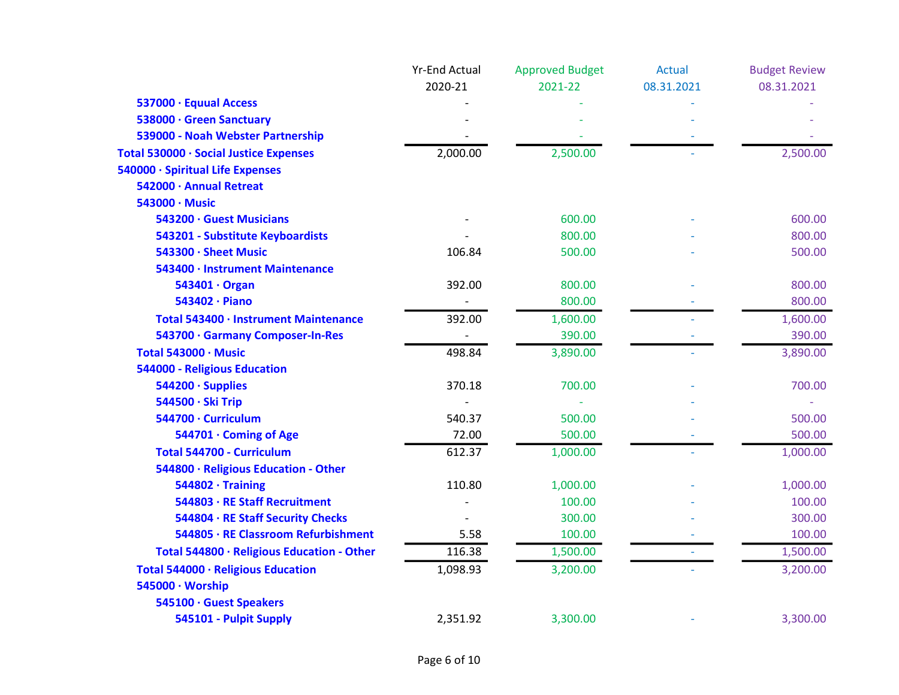|                                            | <b>Yr-End Actual</b> | <b>Approved Budget</b> | <b>Actual</b> | <b>Budget Review</b> |
|--------------------------------------------|----------------------|------------------------|---------------|----------------------|
|                                            | 2020-21              | 2021-22                | 08.31.2021    | 08.31.2021           |
| 537000 · Equual Access                     |                      |                        |               |                      |
| 538000 · Green Sanctuary                   |                      |                        |               |                      |
| 539000 - Noah Webster Partnership          |                      |                        |               |                      |
| Total 530000 · Social Justice Expenses     | 2,000.00             | 2,500.00               |               | 2,500.00             |
| 540000 · Spiritual Life Expenses           |                      |                        |               |                      |
| 542000 · Annual Retreat                    |                      |                        |               |                      |
| 543000 · Music                             |                      |                        |               |                      |
| 543200 · Guest Musicians                   |                      | 600.00                 |               | 600.00               |
| 543201 - Substitute Keyboardists           |                      | 800.00                 |               | 800.00               |
| 543300 · Sheet Music                       | 106.84               | 500.00                 |               | 500.00               |
| 543400 · Instrument Maintenance            |                      |                        |               |                      |
| 543401 · Organ                             | 392.00               | 800.00                 |               | 800.00               |
| 543402 · Piano                             |                      | 800.00                 |               | 800.00               |
| Total 543400 · Instrument Maintenance      | 392.00               | 1,600.00               |               | 1,600.00             |
| 543700 · Garmany Composer-In-Res           |                      | 390.00                 |               | 390.00               |
| Total 543000 · Music                       | 498.84               | 3,890.00               |               | 3,890.00             |
| 544000 - Religious Education               |                      |                        |               |                      |
| 544200 · Supplies                          | 370.18               | 700.00                 |               | 700.00               |
| 544500 · Ski Trip                          |                      |                        |               |                      |
| 544700 · Curriculum                        | 540.37               | 500.00                 |               | 500.00               |
| 544701 · Coming of Age                     | 72.00                | 500.00                 |               | 500.00               |
| <b>Total 544700 - Curriculum</b>           | 612.37               | 1,000.00               |               | 1,000.00             |
| 544800 · Religious Education - Other       |                      |                        |               |                      |
| $544802 \cdot$ Training                    | 110.80               | 1,000.00               |               | 1,000.00             |
| 544803 · RE Staff Recruitment              |                      | 100.00                 |               | 100.00               |
| 544804 · RE Staff Security Checks          |                      | 300.00                 |               | 300.00               |
| 544805 · RE Classroom Refurbishment        | 5.58                 | 100.00                 |               | 100.00               |
| Total 544800 · Religious Education - Other | 116.38               | 1,500.00               |               | 1,500.00             |
| Total 544000 · Religious Education         | 1,098.93             | 3,200.00               |               | 3,200.00             |
| 545000 · Worship                           |                      |                        |               |                      |
| 545100 · Guest Speakers                    |                      |                        |               |                      |
| 545101 - Pulpit Supply                     | 2,351.92             | 3,300.00               |               | 3,300.00             |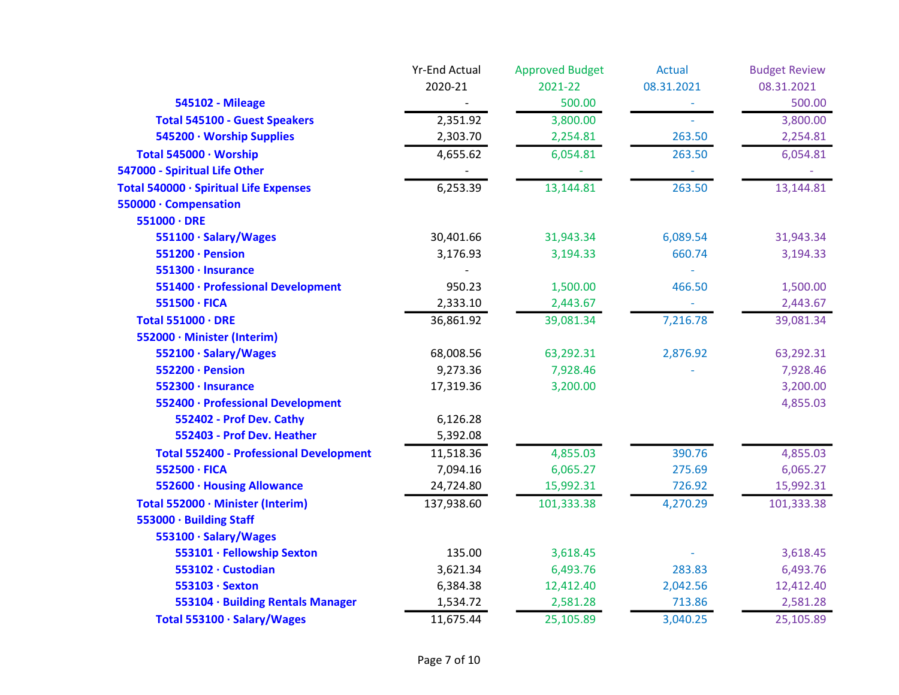|                                                | <b>Yr-End Actual</b> | <b>Approved Budget</b> | <b>Actual</b> | <b>Budget Review</b> |
|------------------------------------------------|----------------------|------------------------|---------------|----------------------|
|                                                | 2020-21              | 2021-22                | 08.31.2021    | 08.31.2021           |
| <b>545102 - Mileage</b>                        |                      | 500.00                 |               | 500.00               |
| <b>Total 545100 - Guest Speakers</b>           | 2,351.92             | 3,800.00               |               | 3,800.00             |
| 545200 · Worship Supplies                      | 2,303.70             | 2,254.81               | 263.50        | 2,254.81             |
| Total 545000 · Worship                         | 4,655.62             | 6,054.81               | 263.50        | 6,054.81             |
| 547000 - Spiritual Life Other                  |                      |                        |               |                      |
| Total 540000 · Spiritual Life Expenses         | 6,253.39             | 13,144.81              | 263.50        | 13,144.81            |
| 550000 · Compensation                          |                      |                        |               |                      |
| $551000 \cdot DRE$                             |                      |                        |               |                      |
| 551100 · Salary/Wages                          | 30,401.66            | 31,943.34              | 6,089.54      | 31,943.34            |
| 551200 · Pension                               | 3,176.93             | 3,194.33               | 660.74        | 3,194.33             |
| 551300 · Insurance                             |                      |                        |               |                      |
| 551400 · Professional Development              | 950.23               | 1,500.00               | 466.50        | 1,500.00             |
| 551500 · FICA                                  | 2,333.10             | 2,443.67               |               | 2,443.67             |
| Total 551000 · DRE                             | 36,861.92            | 39,081.34              | 7,216.78      | 39,081.34            |
| 552000 · Minister (Interim)                    |                      |                        |               |                      |
| 552100 · Salary/Wages                          | 68,008.56            | 63,292.31              | 2,876.92      | 63,292.31            |
| 552200 · Pension                               | 9,273.36             | 7,928.46               |               | 7,928.46             |
| 552300 · Insurance                             | 17,319.36            | 3,200.00               |               | 3,200.00             |
| 552400 · Professional Development              |                      |                        |               | 4,855.03             |
| 552402 - Prof Dev. Cathy                       | 6,126.28             |                        |               |                      |
| 552403 - Prof Dev. Heather                     | 5,392.08             |                        |               |                      |
| <b>Total 552400 - Professional Development</b> | 11,518.36            | 4,855.03               | 390.76        | 4,855.03             |
| 552500 · FICA                                  | 7,094.16             | 6,065.27               | 275.69        | 6,065.27             |
| 552600 · Housing Allowance                     | 24,724.80            | 15,992.31              | 726.92        | 15,992.31            |
| Total 552000 · Minister (Interim)              | 137,938.60           | 101,333.38             | 4,270.29      | 101,333.38           |
| 553000 · Building Staff                        |                      |                        |               |                      |
| 553100 · Salary/Wages                          |                      |                        |               |                      |
| 553101 · Fellowship Sexton                     | 135.00               | 3,618.45               |               | 3,618.45             |
| 553102 · Custodian                             | 3,621.34             | 6,493.76               | 283.83        | 6,493.76             |
| 553103 · Sexton                                | 6,384.38             | 12,412.40              | 2,042.56      | 12,412.40            |
| 553104 · Building Rentals Manager              | 1,534.72             | 2,581.28               | 713.86        | 2,581.28             |
| Total 553100 · Salary/Wages                    | 11,675.44            | 25,105.89              | 3,040.25      | 25,105.89            |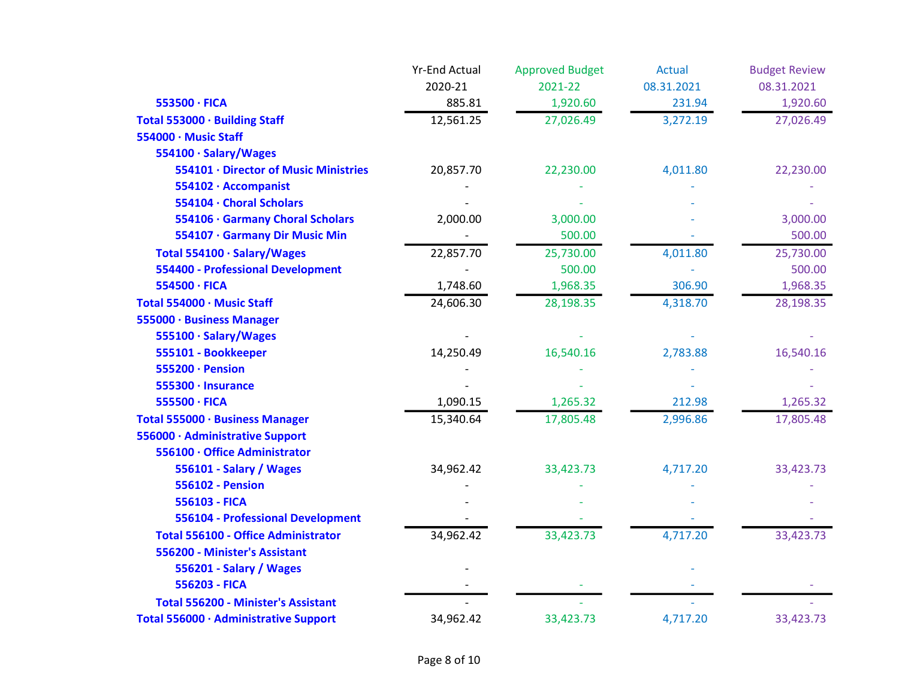|                                            | <b>Yr-End Actual</b> | <b>Approved Budget</b> | <b>Actual</b> | <b>Budget Review</b> |
|--------------------------------------------|----------------------|------------------------|---------------|----------------------|
|                                            | 2020-21              | 2021-22                | 08.31.2021    | 08.31.2021           |
| 553500 · FICA                              | 885.81               | 1,920.60               | 231.94        | 1,920.60             |
| Total 553000 · Building Staff              | 12,561.25            | 27,026.49              | 3,272.19      | 27,026.49            |
| 554000 · Music Staff                       |                      |                        |               |                      |
| 554100 · Salary/Wages                      |                      |                        |               |                      |
| 554101 · Director of Music Ministries      | 20,857.70            | 22,230.00              | 4,011.80      | 22,230.00            |
| 554102 · Accompanist                       |                      |                        |               |                      |
| 554104 · Choral Scholars                   |                      |                        |               |                      |
| 554106 · Garmany Choral Scholars           | 2,000.00             | 3,000.00               |               | 3,000.00             |
| 554107 · Garmany Dir Music Min             |                      | 500.00                 |               | 500.00               |
| Total 554100 · Salary/Wages                | 22,857.70            | 25,730.00              | 4,011.80      | 25,730.00            |
| <b>554400 - Professional Development</b>   |                      | 500.00                 |               | 500.00               |
| 554500 · FICA                              | 1,748.60             | 1,968.35               | 306.90        | 1,968.35             |
| Total 554000 · Music Staff                 | 24,606.30            | 28,198.35              | 4,318.70      | 28,198.35            |
| 555000 · Business Manager                  |                      |                        |               |                      |
| 555100 · Salary/Wages                      |                      |                        |               |                      |
| 555101 - Bookkeeper                        | 14,250.49            | 16,540.16              | 2,783.88      | 16,540.16            |
| 555200 · Pension                           |                      |                        |               |                      |
| 555300 · Insurance                         |                      |                        |               |                      |
| 555500 · FICA                              | 1,090.15             | 1,265.32               | 212.98        | 1,265.32             |
| Total 555000 · Business Manager            | 15,340.64            | 17,805.48              | 2,996.86      | 17,805.48            |
| 556000 · Administrative Support            |                      |                        |               |                      |
| 556100 · Office Administrator              |                      |                        |               |                      |
| 556101 - Salary / Wages                    | 34,962.42            | 33,423.73              | 4,717.20      | 33,423.73            |
| <b>556102 - Pension</b>                    |                      |                        |               |                      |
| 556103 - FICA                              |                      |                        |               |                      |
| 556104 - Professional Development          |                      |                        |               |                      |
| <b>Total 556100 - Office Administrator</b> | 34,962.42            | 33,423.73              | 4,717.20      | 33,423.73            |
| 556200 - Minister's Assistant              |                      |                        |               |                      |
| 556201 - Salary / Wages                    |                      |                        |               |                      |
| 556203 - FICA                              |                      |                        |               |                      |
| <b>Total 556200 - Minister's Assistant</b> |                      |                        |               |                      |
| Total 556000 · Administrative Support      | 34,962.42            | 33,423.73              | 4,717.20      | 33,423.73            |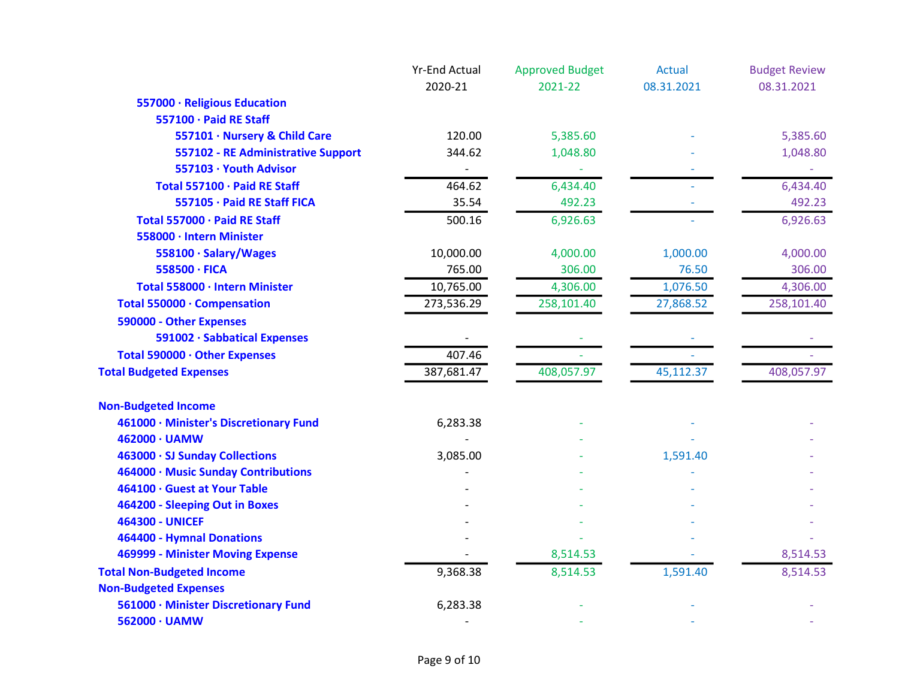|                                        | <b>Yr-End Actual</b> | <b>Approved Budget</b> | <b>Actual</b> | <b>Budget Review</b> |
|----------------------------------------|----------------------|------------------------|---------------|----------------------|
|                                        | 2020-21              | 2021-22                | 08.31.2021    | 08.31.2021           |
| 557000 · Religious Education           |                      |                        |               |                      |
| 557100 · Paid RE Staff                 |                      |                        |               |                      |
| 557101 · Nursery & Child Care          | 120.00               | 5,385.60               |               | 5,385.60             |
| 557102 - RE Administrative Support     | 344.62               | 1,048.80               |               | 1,048.80             |
| 557103 · Youth Advisor                 |                      |                        |               |                      |
| Total 557100 · Paid RE Staff           | 464.62               | 6,434.40               |               | 6,434.40             |
| 557105 · Paid RE Staff FICA            | 35.54                | 492.23                 |               | 492.23               |
| Total 557000 · Paid RE Staff           | 500.16               | 6,926.63               |               | 6,926.63             |
| 558000 · Intern Minister               |                      |                        |               |                      |
| 558100 · Salary/Wages                  | 10,000.00            | 4,000.00               | 1,000.00      | 4,000.00             |
| 558500 · FICA                          | 765.00               | 306.00                 | 76.50         | 306.00               |
| Total 558000 · Intern Minister         | 10,765.00            | 4,306.00               | 1,076.50      | 4,306.00             |
| Total 550000 · Compensation            | 273,536.29           | 258,101.40             | 27,868.52     | 258,101.40           |
| 590000 - Other Expenses                |                      |                        |               |                      |
| 591002 · Sabbatical Expenses           |                      |                        |               |                      |
| Total 590000 · Other Expenses          | 407.46               |                        |               |                      |
| <b>Total Budgeted Expenses</b>         | 387,681.47           | 408,057.97             | 45,112.37     | 408,057.97           |
| <b>Non-Budgeted Income</b>             |                      |                        |               |                      |
| 461000 · Minister's Discretionary Fund | 6,283.38             |                        |               |                      |
| 462000 · UAMW                          |                      |                        |               |                      |
| 463000 · SJ Sunday Collections         | 3,085.00             |                        | 1,591.40      |                      |
| 464000 · Music Sunday Contributions    |                      |                        |               |                      |
| 464100 · Guest at Your Table           |                      |                        |               |                      |
| 464200 - Sleeping Out in Boxes         |                      |                        |               |                      |
| <b>464300 - UNICEF</b>                 |                      |                        |               |                      |
| 464400 - Hymnal Donations              |                      |                        |               |                      |
| 469999 - Minister Moving Expense       |                      | 8,514.53               |               | 8,514.53             |
| <b>Total Non-Budgeted Income</b>       | 9,368.38             | 8,514.53               | 1,591.40      | 8,514.53             |
| <b>Non-Budgeted Expenses</b>           |                      |                        |               |                      |
| 561000 · Minister Discretionary Fund   | 6,283.38             |                        |               |                      |
| 562000 · UAMW                          |                      |                        |               |                      |